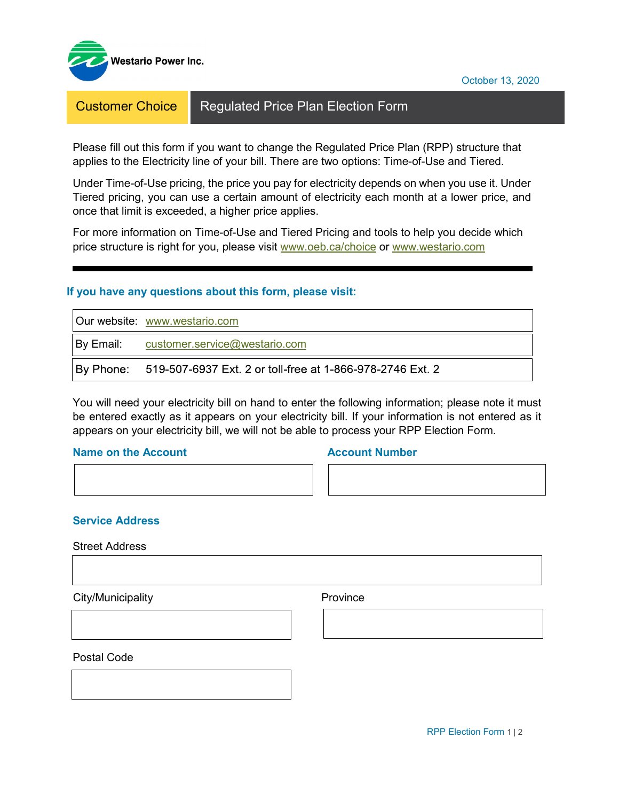

Customer Choice | Regulated Price Plan Election Form

Please fill out this form if you want to change the Regulated Price Plan (RPP) structure that applies to the Electricity line of your bill. There are two options: Time-of-Use and Tiered.

Under Time-of-Use pricing, the price you pay for electricity depends on when you use it. Under Tiered pricing, you can use a certain amount of electricity each month at a lower price, and once that limit is exceeded, a higher price applies.

For more information on Time-of-Use and Tiered Pricing and tools to help you decide which price structure is right for you, please visit [www.oeb.ca/choice](http://www.oeb.ca/choice) or [www.westario.com](http://www.westario.com/)

## **If you have any questions about this form, please visit:**

| Our website: www.westario.com                                       |
|---------------------------------------------------------------------|
| $ By Email:$ customer.service@westario.com                          |
| By Phone: 519-507-6937 Ext. 2 or toll-free at 1-866-978-2746 Ext. 2 |

You will need your electricity bill on hand to enter the following information; please note it must be entered exactly as it appears on your electricity bill. If your information is not entered as it appears on your electricity bill, we will not be able to process your RPP Election Form.

### **Name on the Account Account Account Account Account Number**

**Service Address**

Street Address

**City/Municipality Province** 

Postal Code

October 13, 2020